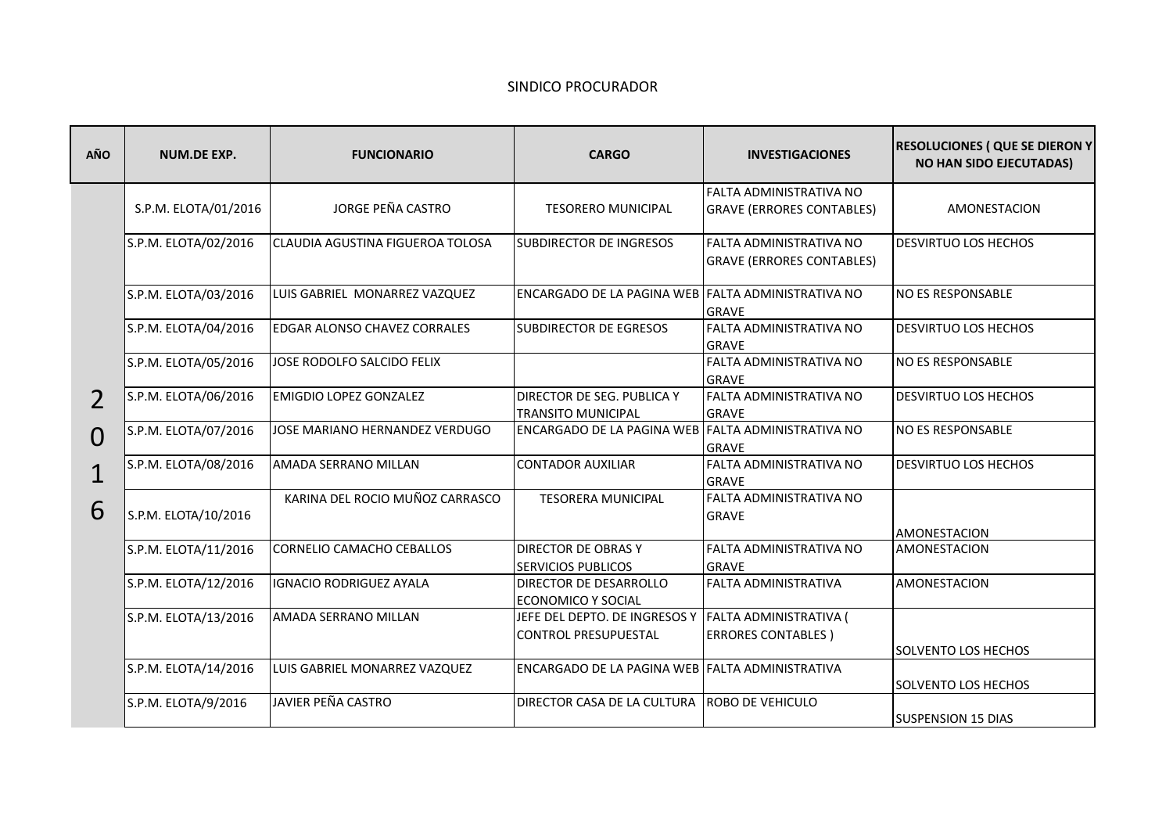## SINDICO PROCURADOR

| <b>AÑO</b>   | <b>NUM.DE EXP.</b>   | <b>FUNCIONARIO</b>                  | <b>CARGO</b>                                                 | <b>INVESTIGACIONES</b>                                      | <b>RESOLUCIONES (QUE SE DIERON Y</b><br><b>NO HAN SIDO EJECUTADAS)</b> |
|--------------|----------------------|-------------------------------------|--------------------------------------------------------------|-------------------------------------------------------------|------------------------------------------------------------------------|
|              | S.P.M. ELOTA/01/2016 | <b>JORGE PEÑA CASTRO</b>            | <b>TESORERO MUNICIPAL</b>                                    | FALTA ADMINISTRATIVA NO<br><b>GRAVE (ERRORES CONTABLES)</b> | AMONESTACION                                                           |
|              | S.P.M. ELOTA/02/2016 | CLAUDIA AGUSTINA FIGUEROA TOLOSA    | <b>SUBDIRECTOR DE INGRESOS</b>                               | FALTA ADMINISTRATIVA NO<br><b>GRAVE (ERRORES CONTABLES)</b> | <b>DESVIRTUO LOS HECHOS</b>                                            |
|              | S.P.M. ELOTA/03/2016 | LUIS GABRIEL MONARREZ VAZQUEZ       | ENCARGADO DE LA PAGINA WEB FALTA ADMINISTRATIVA NO           | <b>GRAVE</b>                                                | <b>NO ES RESPONSABLE</b>                                               |
|              | S.P.M. ELOTA/04/2016 | <b>EDGAR ALONSO CHAVEZ CORRALES</b> | <b>SUBDIRECTOR DE EGRESOS</b>                                | FALTA ADMINISTRATIVA NO<br><b>GRAVE</b>                     | <b>DESVIRTUO LOS HECHOS</b>                                            |
|              | S.P.M. ELOTA/05/2016 | JOSE RODOLFO SALCIDO FELIX          |                                                              | FALTA ADMINISTRATIVA NO<br><b>GRAVE</b>                     | <b>NO ES RESPONSABLE</b>                                               |
|              | S.P.M. ELOTA/06/2016 | <b>EMIGDIO LOPEZ GONZALEZ</b>       | DIRECTOR DE SEG. PUBLICA Y<br><b>TRANSITO MUNICIPAL</b>      | FALTA ADMINISTRATIVA NO<br><b>GRAVE</b>                     | <b>DESVIRTUO LOS HECHOS</b>                                            |
| Ω            | S.P.M. ELOTA/07/2016 | JOSE MARIANO HERNANDEZ VERDUGO      | <b>ENCARGADO DE LA PAGINA WEB FALTA ADMINISTRATIVA NO</b>    | <b>GRAVE</b>                                                | <b>NO ES RESPONSABLE</b>                                               |
| $\mathbf{1}$ | S.P.M. ELOTA/08/2016 | AMADA SERRANO MILLAN                | <b>CONTADOR AUXILIAR</b>                                     | FALTA ADMINISTRATIVA NO<br><b>GRAVE</b>                     | <b>DESVIRTUO LOS HECHOS</b>                                            |
| 6            | S.P.M. ELOTA/10/2016 | KARINA DEL ROCIO MUÑOZ CARRASCO     | <b>TESORERA MUNICIPAL</b>                                    | FALTA ADMINISTRATIVA NO<br><b>GRAVE</b>                     | AMONESTACION                                                           |
|              | S.P.M. ELOTA/11/2016 | CORNELIO CAMACHO CEBALLOS           | <b>DIRECTOR DE OBRAS Y</b><br><b>SERVICIOS PUBLICOS</b>      | FALTA ADMINISTRATIVA NO<br><b>GRAVE</b>                     | AMONESTACION                                                           |
|              | S.P.M. ELOTA/12/2016 | IGNACIO RODRIGUEZ AYALA             | <b>DIRECTOR DE DESARROLLO</b><br><b>ECONOMICO Y SOCIAL</b>   | FALTA ADMINISTRATIVA                                        | <b>AMONESTACION</b>                                                    |
|              | S.P.M. ELOTA/13/2016 | AMADA SERRANO MILLAN                | JEFE DEL DEPTO. DE INGRESOS Y<br><b>CONTROL PRESUPUESTAL</b> | FALTA ADMINISTRATIVA (<br><b>ERRORES CONTABLES)</b>         | SOLVENTO LOS HECHOS                                                    |
|              | S.P.M. ELOTA/14/2016 | LUIS GABRIEL MONARREZ VAZQUEZ       | ENCARGADO DE LA PAGINA WEB FALTA ADMINISTRATIVA              |                                                             | <b>SOLVENTO LOS HECHOS</b>                                             |
|              | S.P.M. ELOTA/9/2016  | <b>JAVIER PEÑA CASTRO</b>           | DIRECTOR CASA DE LA CULTURA ROBO DE VEHICULO                 |                                                             | <b>SUSPENSION 15 DIAS</b>                                              |